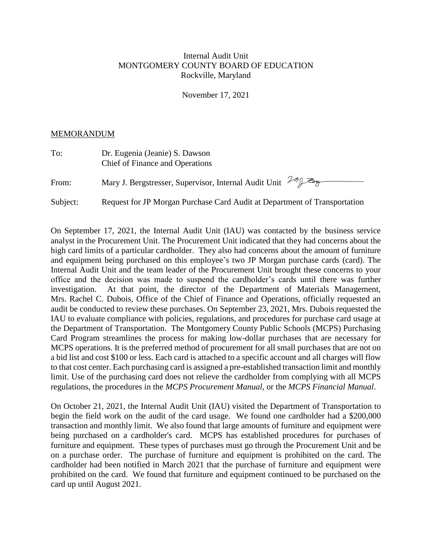## Internal Audit Unit MONTGOMERY COUNTY BOARD OF EDUCATION Rockville, Maryland

November 17, 2021

## MEMORANDUM

| To:      | Dr. Eugenia (Jeanie) S. Dawson<br><b>Chief of Finance and Operations</b>  |
|----------|---------------------------------------------------------------------------|
| From:    | Mary J. Bergstresser, Supervisor, Internal Audit Unit 19/18               |
| Subject: | Request for JP Morgan Purchase Card Audit at Department of Transportation |

On September 17, 2021, the Internal Audit Unit (IAU) was contacted by the business service analyst in the Procurement Unit. The Procurement Unit indicated that they had concerns about the high card limits of a particular cardholder. They also had concerns about the amount of furniture and equipment being purchased on this employee's two JP Morgan purchase cards (card). The Internal Audit Unit and the team leader of the Procurement Unit brought these concerns to your office and the decision was made to suspend the cardholder's cards until there was further investigation. At that point, the director of the Department of Materials Management, Mrs. Rachel C. Dubois, Office of the Chief of Finance and Operations, officially requested an audit be conducted to review these purchases. On September 23, 2021, Mrs. Dubois requested the IAU to evaluate compliance with policies, regulations, and procedures for purchase card usage at the Department of Transportation. The Montgomery County Public Schools (MCPS) Purchasing Card Program streamlines the process for making low-dollar purchases that are necessary for MCPS operations. It is the preferred method of procurement for all small purchases that are not on a bid list and cost \$100 or less. Each card is attached to a specific account and all charges will flow to that cost center. Each purchasing card is assigned a pre-established transaction limit and monthly limit. Use of the purchasing card does not relieve the cardholder from complying with all MCPS regulations, the procedures in the *MCPS Procurement Manual*, or the *MCPS Financial Manual*.

On October 21, 2021, the Internal Audit Unit (IAU) visited the Department of Transportation to begin the field work on the audit of the card usage. We found one cardholder had a \$200,000 transaction and monthly limit. We also found that large amounts of furniture and equipment were being purchased on a cardholder's card. MCPS has established procedures for purchases of furniture and equipment. These types of purchases must go through the Procurement Unit and be on a purchase order. The purchase of furniture and equipment is prohibited on the card. The cardholder had been notified in March 2021 that the purchase of furniture and equipment were prohibited on the card. We found that furniture and equipment continued to be purchased on the card up until August 2021.